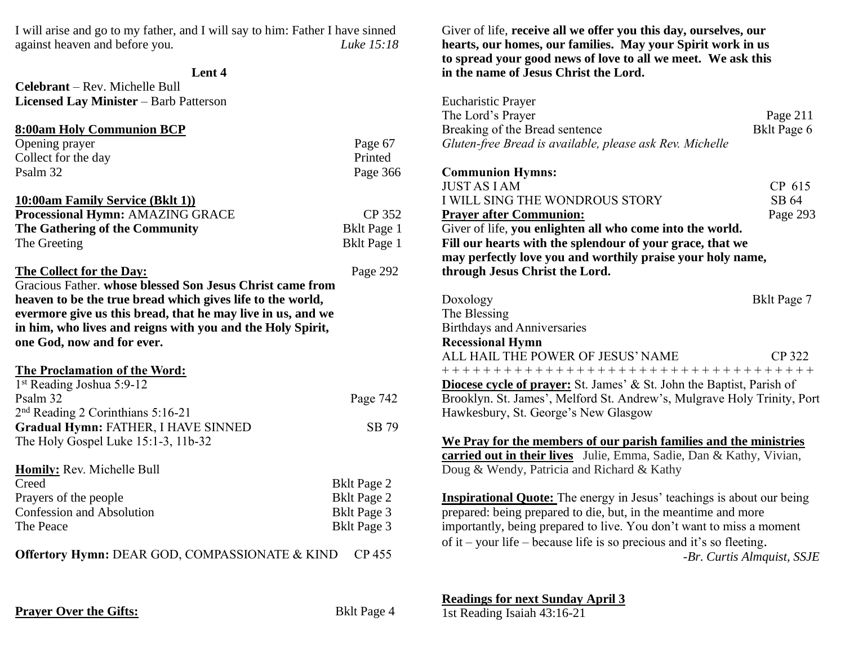I will arise and go to my father, and I will say to him: Father I have sinned against heaven and before you*. Luke 15:18*

#### **Lent 4**

**Celebrant** – Rev. Michelle Bull **Licensed Lay Minister** – Barb Patterson

| 8:00am Holy Communion BCP        |                    |
|----------------------------------|--------------------|
| Opening prayer                   | Page 67            |
| Collect for the day              | Printed            |
| Psalm 32                         | Page 366           |
| 10:00am Family Service (Bklt 1)) |                    |
| Processional Hymn: AMAZING GRACE | CP 352             |
| The Gathering of the Community   | <b>Bklt Page 1</b> |
| The Greeting                     | <b>Bklt Page 1</b> |

# **The Collect for the Day:** Page 292

Gracious Father. **whose blessed Son Jesus Christ came from heaven to be the true bread which gives life to the world, evermore give us this bread, that he may live in us, and we in him, who lives and reigns with you and the Holy Spirit, one God, now and for ever.**

### **The Proclamation of the Word:**

| 1 <sup>st</sup> Reading Joshua 5:9-12      |                    |
|--------------------------------------------|--------------------|
| Psalm 32                                   | Page 742           |
| $2nd$ Reading 2 Corinthians 5:16-21        |                    |
| <b>Gradual Hymn: FATHER, I HAVE SINNED</b> | SB 79              |
| The Holy Gospel Luke 15:1-3, 11b-32        |                    |
| <b>Homily: Rev. Michelle Bull</b>          |                    |
| Creed                                      | <b>Bklt Page 2</b> |
| Prayers of the people                      | <b>Bklt Page 2</b> |

Confession and Absolution Bklt Page 3 The Peace Bklt Page 3

**Offertory Hymn:** DEAR GOD, COMPASSIONATE & KIND CP 455

Giver of life, **receive all we offer you this day, ourselves, our hearts, our homes, our families. May your Spirit work in us to spread your good news of love to all we meet. We ask this in the name of Jesus Christ the Lord.**

| <b>Eucharistic Prayer</b>                                                                                                                                                                                                                                                                                                                   |                             |
|---------------------------------------------------------------------------------------------------------------------------------------------------------------------------------------------------------------------------------------------------------------------------------------------------------------------------------------------|-----------------------------|
| The Lord's Prayer                                                                                                                                                                                                                                                                                                                           | Page 211                    |
| Breaking of the Bread sentence                                                                                                                                                                                                                                                                                                              | Bklt Page 6                 |
| Gluten-free Bread is available, please ask Rev. Michelle                                                                                                                                                                                                                                                                                    |                             |
| <b>Communion Hymns:</b><br><b>JUST AS LAM</b><br>I WILL SING THE WONDROUS STORY<br><b>Prayer after Communion:</b><br>Giver of life, you enlighten all who come into the world.<br>Fill our hearts with the splendour of your grace, that we<br>may perfectly love you and worthily praise your holy name,<br>through Jesus Christ the Lord. | CP 615<br>SB 64<br>Page 293 |
| Doxology<br>The Blessing<br><b>Birthdays and Anniversaries</b>                                                                                                                                                                                                                                                                              | Bklt Page 7                 |
| <b>Recessional Hymn</b><br>ALL HAIL THE POWER OF JESUS' NAME                                                                                                                                                                                                                                                                                | <b>CP 322</b>               |
| ++++++++++++++++++++++++++++++++++++                                                                                                                                                                                                                                                                                                        |                             |
| Diocese cycle of prayer: St. James' & St. John the Baptist, Parish of                                                                                                                                                                                                                                                                       |                             |
| Brooklyn. St. James', Melford St. Andrew's, Mulgrave Holy Trinity, Port                                                                                                                                                                                                                                                                     |                             |
| Hawkesbury, St. George's New Glasgow                                                                                                                                                                                                                                                                                                        |                             |
| We Pray for the members of our parish families and the ministries<br>carried out in their lives Julie, Emma, Sadie, Dan & Kathy, Vivian,<br>Doug & Wendy, Patricia and Richard & Kathy<br><b>Inspirational Quote:</b> The energy in Jesus' teachings is about our being                                                                     |                             |
| prepared: being prepared to die, but, in the meantime and more<br>importantly, being prepared to live. You don't want to miss a moment<br>of it – your life – because life is so precious and it's so fleeting.                                                                                                                             | -Br. Curtis Almquist, SSJE  |

**Readings for next Sunday April 3**

**Prayer Over the Gifts:** Bklt Page 4

1st Reading Isaiah 43:16-21